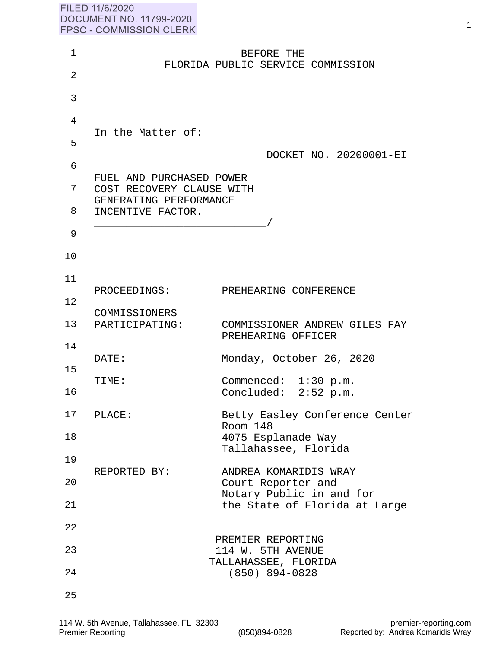## FILED 11/6/2020 **DOCUMENT NO. 11799-2020 FPSC - COMMISSION CLERK**

| 1              |                                                       | BEFORE THE                                          |
|----------------|-------------------------------------------------------|-----------------------------------------------------|
| $\overline{2}$ |                                                       | FLORIDA PUBLIC SERVICE COMMISSION                   |
| 3              |                                                       |                                                     |
| 4              |                                                       |                                                     |
| 5              | In the Matter of:                                     |                                                     |
| 6              |                                                       | DOCKET NO. 20200001-EI                              |
| 7              | FUEL AND PURCHASED POWER<br>COST RECOVERY CLAUSE WITH |                                                     |
| 8              | GENERATING PERFORMANCE<br>INCENTIVE FACTOR.           |                                                     |
| 9              |                                                       |                                                     |
| 10             |                                                       |                                                     |
| 11             |                                                       |                                                     |
| 12             | PROCEEDINGS:                                          | PREHEARING CONFERENCE                               |
|                | COMMISSIONERS<br>13 PARTICIPATING:                    | COMMISSIONER ANDREW GILES FAY<br>PREHEARING OFFICER |
| 14             | DATE:                                                 | Monday, October 26, 2020                            |
| 15             | TIME:                                                 | Commenced: 1:30 p.m.                                |
| 16             |                                                       | Concluded: 2:52 p.m.                                |
| 17             | PLACE:                                                | Betty Easley Conference Center<br>Room 148          |
| 18             |                                                       | 4075 Esplanade Way<br>Tallahassee, Florida          |
| 19             | REPORTED BY:                                          | ANDREA KOMARIDIS WRAY                               |
| 20             |                                                       | Court Reporter and<br>Notary Public in and for      |
| 21             |                                                       | the State of Florida at Large                       |
| 22             |                                                       | PREMIER REPORTING                                   |
| 23             |                                                       | 114 W. 5TH AVENUE<br>TALLAHASSEE, FLORIDA           |
| 24             |                                                       | (850) 894-0828                                      |
| 25             |                                                       |                                                     |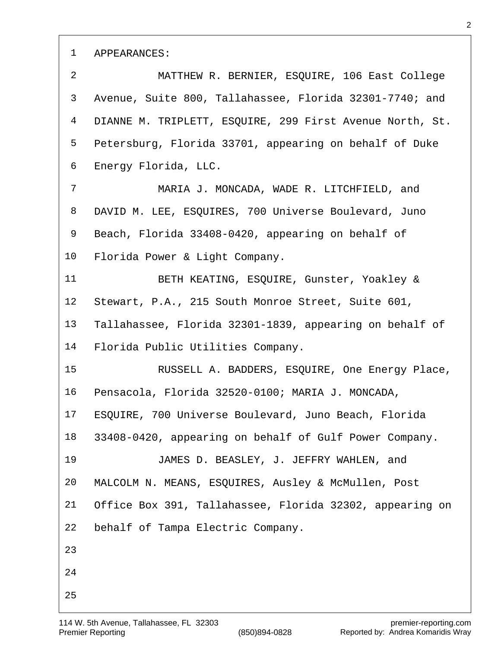APPEARANCES:

 MATTHEW R. BERNIER, ESQUIRE, 106 East College Avenue, Suite 800, Tallahassee, Florida 32301-7740; and DIANNE M. TRIPLETT, ESQUIRE, 299 First Avenue North, St. Petersburg, Florida 33701, appearing on behalf of Duke Energy Florida, LLC. MARIA J. MONCADA, WADE R. LITCHFIELD, and DAVID M. LEE, ESQUIRES, 700 Universe Boulevard, Juno Beach, Florida 33408-0420, appearing on behalf of Florida Power & Light Company. BETH KEATING, ESQUIRE, Gunster, Yoakley & Stewart, P.A., 215 South Monroe Street, Suite 601, Tallahassee, Florida 32301-1839, appearing on behalf of Florida Public Utilities Company. RUSSELL A. BADDERS, ESQUIRE, One Energy Place, Pensacola, Florida 32520-0100; MARIA J. MONCADA, ESQUIRE, 700 Universe Boulevard, Juno Beach, Florida 33408-0420, appearing on behalf of Gulf Power Company. JAMES D. BEASLEY, J. JEFFRY WAHLEN, and MALCOLM N. MEANS, ESQUIRES, Ausley & McMullen, Post Office Box 391, Tallahassee, Florida 32302, appearing on behalf of Tampa Electric Company.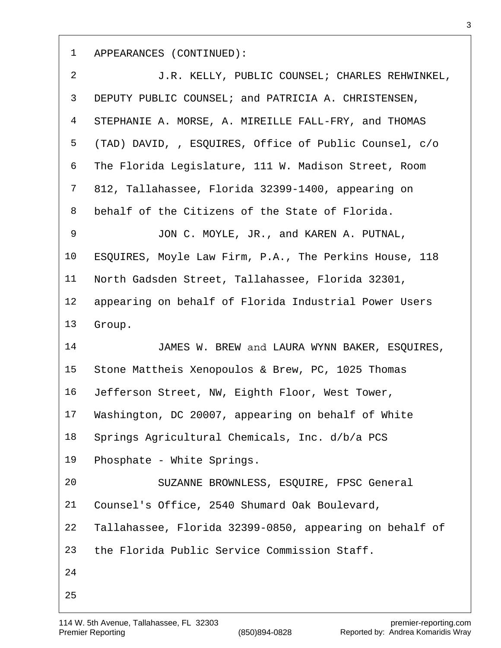1 APPEARANCES (CONTINUED):

| $\overline{a}$ | J.R. KELLY, PUBLIC COUNSEL; CHARLES REHWINKEL,          |
|----------------|---------------------------------------------------------|
| 3              | DEPUTY PUBLIC COUNSEL; and PATRICIA A. CHRISTENSEN,     |
| 4              | STEPHANIE A. MORSE, A. MIREILLE FALL-FRY, and THOMAS    |
| 5              | (TAD) DAVID, , ESQUIRES, Office of Public Counsel, c/o  |
| 6              | The Florida Legislature, 111 W. Madison Street, Room    |
| 7              | 812, Tallahassee, Florida 32399-1400, appearing on      |
| 8              | behalf of the Citizens of the State of Florida.         |
| 9              | JON C. MOYLE, JR., and KAREN A. PUTNAL,                 |
| 10             | ESQUIRES, Moyle Law Firm, P.A., The Perkins House, 118  |
| 11             | North Gadsden Street, Tallahassee, Florida 32301,       |
| 12             | appearing on behalf of Florida Industrial Power Users   |
| 13             | Group.                                                  |
|                |                                                         |
| 14             | JAMES W. BREW and LAURA WYNN BAKER, ESQUIRES,           |
| 15             | Stone Mattheis Xenopoulos & Brew, PC, 1025 Thomas       |
| 16             | Jefferson Street, NW, Eighth Floor, West Tower,         |
| 17             | Washington, DC 20007, appearing on behalf of White      |
| 18             | Springs Agricultural Chemicals, Inc. d/b/a PCS          |
| 19             | Phosphate - White Springs.                              |
| 20             | SUZANNE BROWNLESS, ESQUIRE, FPSC General                |
| 21             | Counsel's Office, 2540 Shumard Oak Boulevard,           |
| 22             | Tallahassee, Florida 32399-0850, appearing on behalf of |
| 23             | the Florida Public Service Commission Staff.            |
| 24             |                                                         |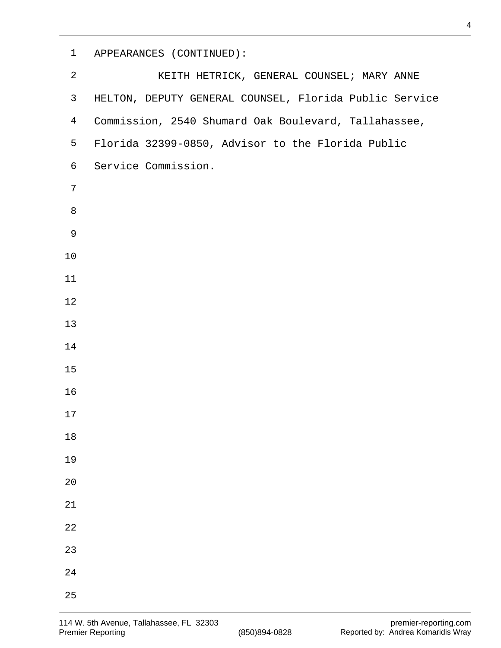| $\mathbf{1}$   | APPEARANCES (CONTINUED):                               |
|----------------|--------------------------------------------------------|
| $\overline{2}$ | KEITH HETRICK, GENERAL COUNSEL; MARY ANNE              |
| $\mathsf{3}$   | HELTON, DEPUTY GENERAL COUNSEL, Florida Public Service |
| $\overline{4}$ | Commission, 2540 Shumard Oak Boulevard, Tallahassee,   |
| 5              | Florida 32399-0850, Advisor to the Florida Public      |
| 6              | Service Commission.                                    |
| $\overline{7}$ |                                                        |
| 8              |                                                        |
| 9              |                                                        |
| 10             |                                                        |
| 11             |                                                        |
| 12             |                                                        |
| 13             |                                                        |
| 14             |                                                        |
| 15             |                                                        |
| 16             |                                                        |
| $17$           |                                                        |
| $18\,$         |                                                        |
| 19             |                                                        |
| $2\,0$         |                                                        |
| $21\,$         |                                                        |
| $2\sqrt{2}$    |                                                        |
| 23             |                                                        |
| 24             |                                                        |
| 25             |                                                        |

 $\sqrt{2}$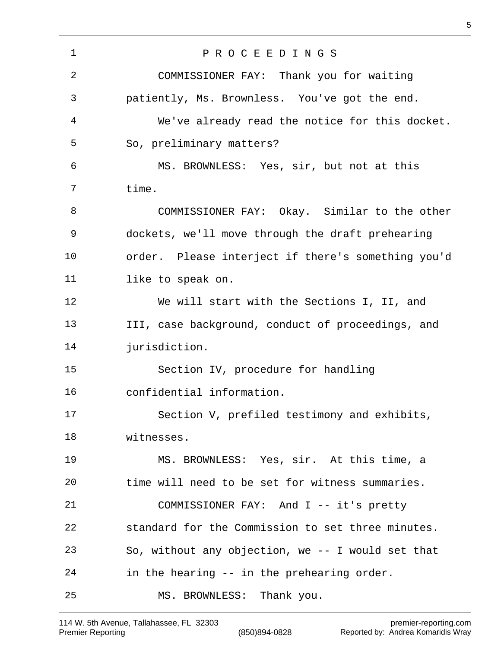P R O C E E D I N G S COMMISSIONER FAY: Thank you for waiting patiently, Ms. Brownless. You've got the end. We've already read the notice for this docket. So, preliminary matters? MS. BROWNLESS: Yes, sir, but not at this time. COMMISSIONER FAY: Okay. Similar to the other dockets, we'll move through the draft prehearing order. Please interject if there's something you'd 11 like to speak on. We will start with the Sections I, II, and III, case background, conduct of proceedings, and jurisdiction. Section IV, procedure for handling confidential information. Section V, prefiled testimony and exhibits, witnesses. MS. BROWNLESS: Yes, sir. At this time, a time will need to be set for witness summaries. COMMISSIONER FAY: And I -- it's pretty standard for the Commission to set three minutes. So, without any objection, we -- I would set that in the hearing -- in the prehearing order. MS. BROWNLESS: Thank you.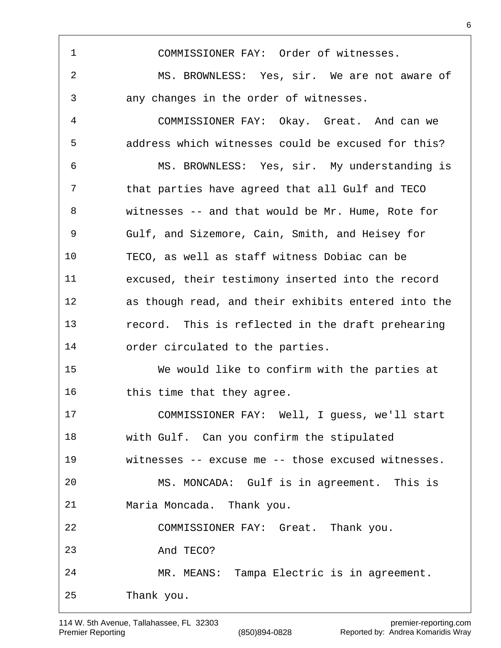COMMISSIONER FAY: Order of witnesses. MS. BROWNLESS: Yes, sir. We are not aware of any changes in the order of witnesses. COMMISSIONER FAY: Okay. Great. And can we address which witnesses could be excused for this? MS. BROWNLESS: Yes, sir. My understanding is that parties have agreed that all Gulf and TECO witnesses -- and that would be Mr. Hume, Rote for Gulf, and Sizemore, Cain, Smith, and Heisey for TECO, as well as staff witness Dobiac can be excused, their testimony inserted into the record as though read, and their exhibits entered into the record. This is reflected in the draft prehearing order circulated to the parties. We would like to confirm with the parties at 16 this time that they agree. COMMISSIONER FAY: Well, I guess, we'll start with Gulf. Can you confirm the stipulated witnesses -- excuse me -- those excused witnesses. MS. MONCADA: Gulf is in agreement. This is Maria Moncada. Thank you. COMMISSIONER FAY: Great. Thank you. And TECO? MR. MEANS: Tampa Electric is in agreement. Thank you.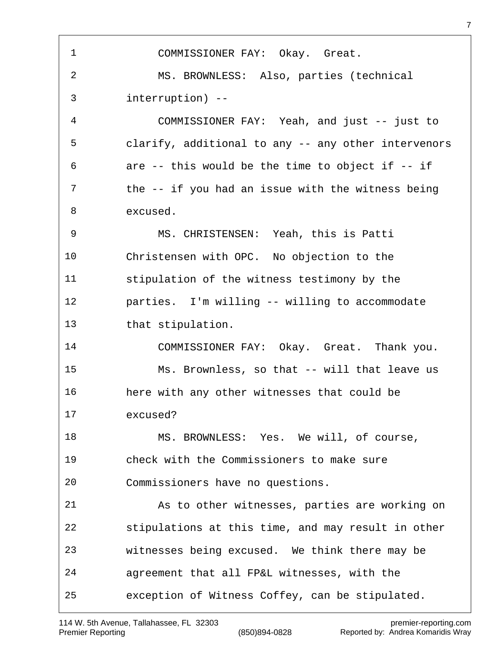COMMISSIONER FAY: Okay. Great. MS. BROWNLESS: Also, parties (technical interruption) -- COMMISSIONER FAY: Yeah, and just -- just to clarify, additional to any -- any other intervenors are -- this would be the time to object if -- if 7 the -- if you had an issue with the witness being excused. MS. CHRISTENSEN: Yeah, this is Patti Christensen with OPC. No objection to the stipulation of the witness testimony by the parties. I'm willing -- willing to accommodate that stipulation. COMMISSIONER FAY: Okay. Great. Thank you. Ms. Brownless, so that -- will that leave us here with any other witnesses that could be excused? 18 MS. BROWNLESS: Yes. We will, of course, check with the Commissioners to make sure Commissioners have no questions. As to other witnesses, parties are working on stipulations at this time, and may result in other witnesses being excused. We think there may be agreement that all FP&L witnesses, with the exception of Witness Coffey, can be stipulated.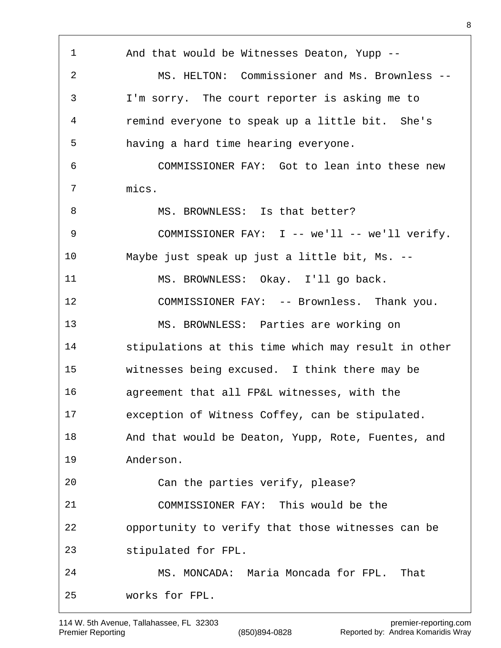And that would be Witnesses Deaton, Yupp -- MS. HELTON: Commissioner and Ms. Brownless -- I'm sorry. The court reporter is asking me to remind everyone to speak up a little bit. She's having a hard time hearing everyone. COMMISSIONER FAY: Got to lean into these new mics. 8 MS. BROWNLESS: Is that better? 9 COMMISSIONER FAY: I -- we'll -- we'll verify. Maybe just speak up just a little bit, Ms. -- MS. BROWNLESS: Okay. I'll go back. COMMISSIONER FAY: -- Brownless. Thank you. MS. BROWNLESS: Parties are working on stipulations at this time which may result in other witnesses being excused. I think there may be agreement that all FP&L witnesses, with the exception of Witness Coffey, can be stipulated. And that would be Deaton, Yupp, Rote, Fuentes, and Anderson. Can the parties verify, please? COMMISSIONER FAY: This would be the opportunity to verify that those witnesses can be stipulated for FPL. MS. MONCADA: Maria Moncada for FPL. That works for FPL.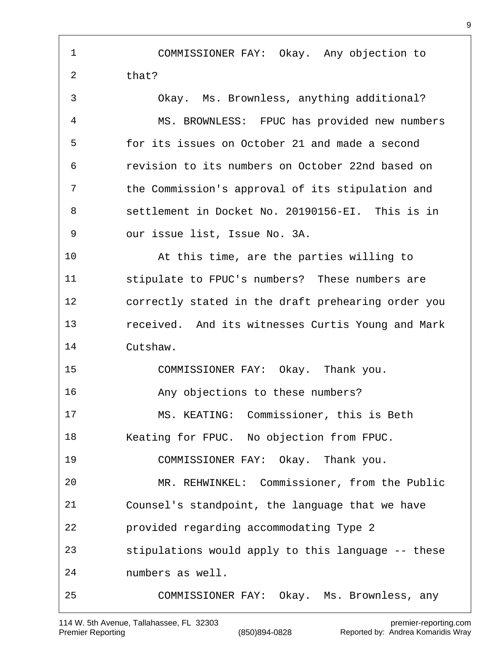COMMISSIONER FAY: Okay. Any objection to that? Okay. Ms. Brownless, anything additional? MS. BROWNLESS: FPUC has provided new numbers for its issues on October 21 and made a second revision to its numbers on October 22nd based on the Commission's approval of its stipulation and settlement in Docket No. 20190156-EI. This is in our issue list, Issue No. 3A. At this time, are the parties willing to stipulate to FPUC's numbers? These numbers are correctly stated in the draft prehearing order you received. And its witnesses Curtis Young and Mark Cutshaw. COMMISSIONER FAY: Okay. Thank you. Any objections to these numbers? MS. KEATING: Commissioner, this is Beth Keating for FPUC. No objection from FPUC. COMMISSIONER FAY: Okay. Thank you. MR. REHWINKEL: Commissioner, from the Public Counsel's standpoint, the language that we have provided regarding accommodating Type 2 stipulations would apply to this language -- these numbers as well. COMMISSIONER FAY: Okay. Ms. Brownless, any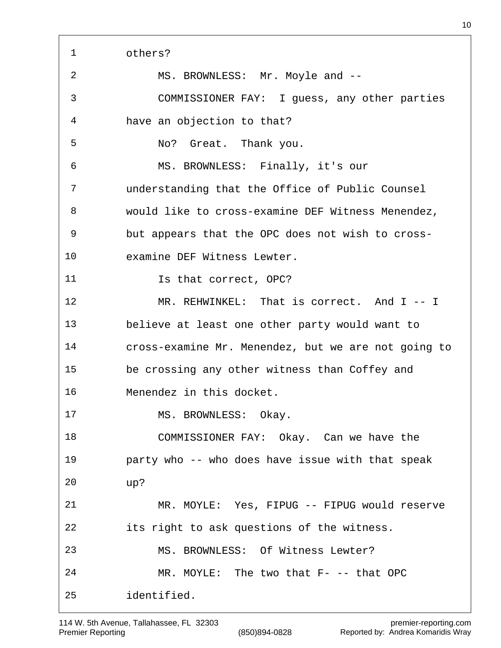others? 2 MS. BROWNLESS: Mr. Moyle and -- COMMISSIONER FAY: I guess, any other parties have an objection to that? No? Great. Thank you. MS. BROWNLESS: Finally, it's our understanding that the Office of Public Counsel would like to cross-examine DEF Witness Menendez, but appears that the OPC does not wish to cross- examine DEF Witness Lewter. 11 Is that correct, OPC? 12 MR. REHWINKEL: That is correct. And I -- I believe at least one other party would want to cross-examine Mr. Menendez, but we are not going to be crossing any other witness than Coffey and Menendez in this docket. 17 MS. BROWNLESS: Okay. COMMISSIONER FAY: Okay. Can we have the party who -- who does have issue with that speak up? MR. MOYLE: Yes, FIPUG -- FIPUG would reserve its right to ask questions of the witness. MS. BROWNLESS: Of Witness Lewter? MR. MOYLE: The two that F- -- that OPC identified.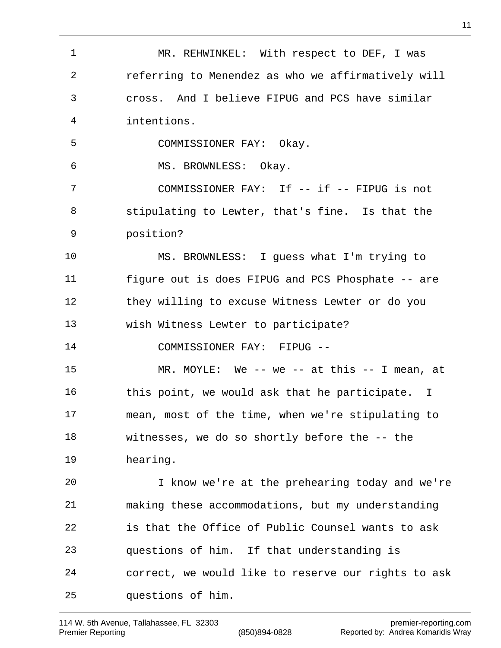1 MR. REHWINKEL: With respect to DEF, I was referring to Menendez as who we affirmatively will cross. And I believe FIPUG and PCS have similar intentions. COMMISSIONER FAY: Okay. MS. BROWNLESS: Okay. 7 COMMISSIONER FAY: If -- if -- FIPUG is not stipulating to Lewter, that's fine. Is that the position? MS. BROWNLESS: I guess what I'm trying to figure out is does FIPUG and PCS Phosphate -- are they willing to excuse Witness Lewter or do you wish Witness Lewter to participate? COMMISSIONER FAY: FIPUG -- MR. MOYLE: We -- we -- at this -- I mean, at 16 this point, we would ask that he participate. I mean, most of the time, when we're stipulating to witnesses, we do so shortly before the -- the hearing. I know we're at the prehearing today and we're making these accommodations, but my understanding is that the Office of Public Counsel wants to ask questions of him. If that understanding is correct, we would like to reserve our rights to ask questions of him.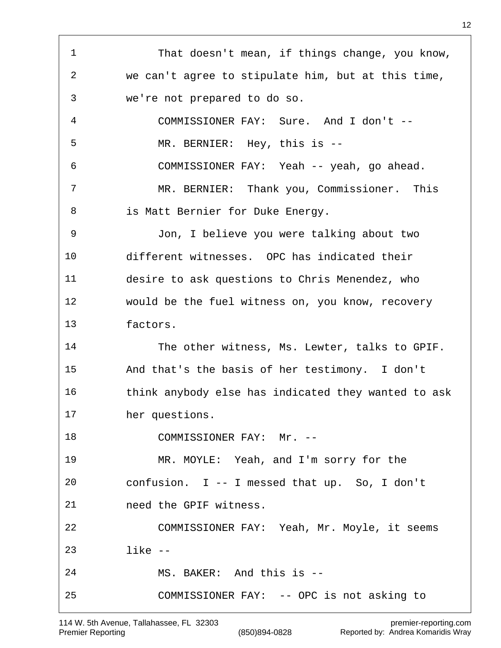That doesn't mean, if things change, you know, we can't agree to stipulate him, but at this time, we're not prepared to do so. COMMISSIONER FAY: Sure. And I don't -- MR. BERNIER: Hey, this is -- COMMISSIONER FAY: Yeah -- yeah, go ahead. MR. BERNIER: Thank you, Commissioner. This is Matt Bernier for Duke Energy. Jon, I believe you were talking about two different witnesses. OPC has indicated their desire to ask questions to Chris Menendez, who would be the fuel witness on, you know, recovery factors. The other witness, Ms. Lewter, talks to GPIF. And that's the basis of her testimony. I don't think anybody else has indicated they wanted to ask her questions. 18 COMMISSIONER FAY: Mr. -- MR. MOYLE: Yeah, and I'm sorry for the confusion. I -- I messed that up. So, I don't need the GPIF witness. COMMISSIONER FAY: Yeah, Mr. Moyle, it seems like -- MS. BAKER: And this is -- COMMISSIONER FAY: -- OPC is not asking to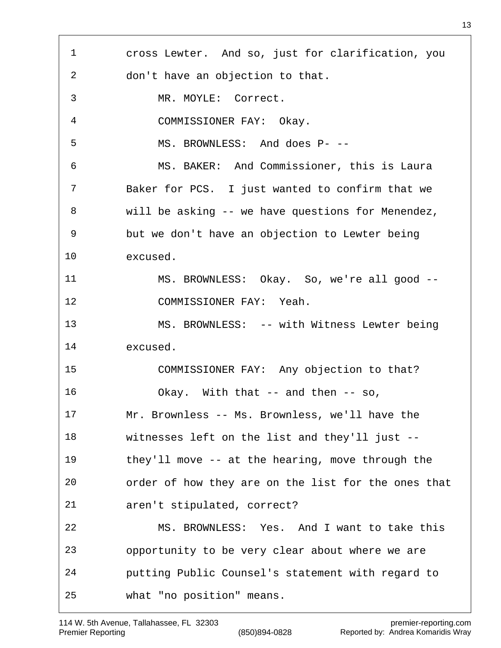cross Lewter. And so, just for clarification, you don't have an objection to that. MR. MOYLE: Correct. COMMISSIONER FAY: Okay. MS. BROWNLESS: And does P- -- MS. BAKER: And Commissioner, this is Laura Baker for PCS. I just wanted to confirm that we will be asking -- we have questions for Menendez, but we don't have an objection to Lewter being excused. MS. BROWNLESS: Okay. So, we're all good -- COMMISSIONER FAY: Yeah. MS. BROWNLESS: -- with Witness Lewter being excused. COMMISSIONER FAY: Any objection to that? Okay. With that -- and then -- so, Mr. Brownless -- Ms. Brownless, we'll have the witnesses left on the list and they'll just -- they'll move -- at the hearing, move through the order of how they are on the list for the ones that aren't stipulated, correct? MS. BROWNLESS: Yes. And I want to take this opportunity to be very clear about where we are putting Public Counsel's statement with regard to what "no position" means.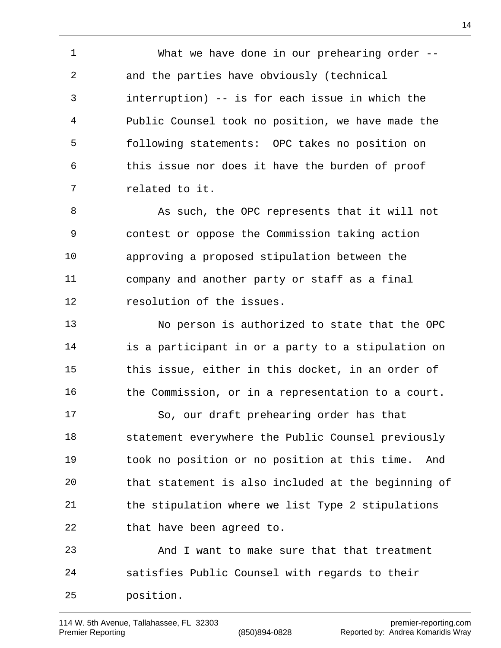What we have done in our prehearing order -- and the parties have obviously (technical interruption) -- is for each issue in which the Public Counsel took no position, we have made the following statements: OPC takes no position on this issue nor does it have the burden of proof related to it.

8 As such, the OPC represents that it will not contest or oppose the Commission taking action approving a proposed stipulation between the company and another party or staff as a final resolution of the issues.

 No person is authorized to state that the OPC is a participant in or a party to a stipulation on this issue, either in this docket, in an order of the Commission, or in a representation to a court.

 So, our draft prehearing order has that statement everywhere the Public Counsel previously took no position or no position at this time. And that statement is also included at the beginning of the stipulation where we list Type 2 stipulations that have been agreed to. And I want to make sure that that treatment

 satisfies Public Counsel with regards to their position.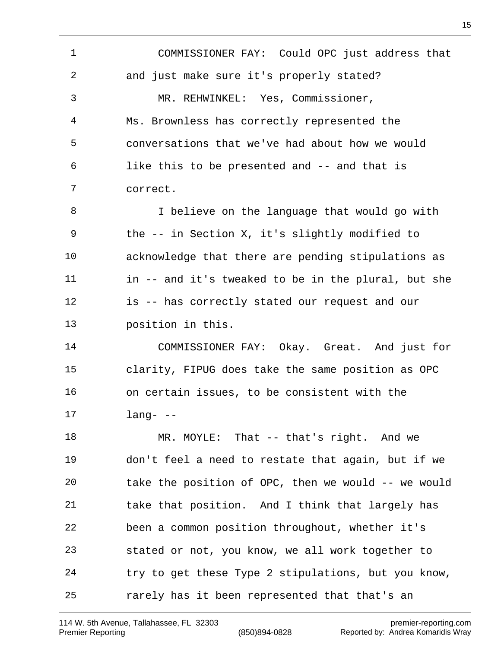COMMISSIONER FAY: Could OPC just address that and just make sure it's properly stated? MR. REHWINKEL: Yes, Commissioner, Ms. Brownless has correctly represented the conversations that we've had about how we would like this to be presented and -- and that is correct. 8 I believe on the language that would go with the -- in Section X, it's slightly modified to acknowledge that there are pending stipulations as in -- and it's tweaked to be in the plural, but she is -- has correctly stated our request and our position in this. COMMISSIONER FAY: Okay. Great. And just for clarity, FIPUG does take the same position as OPC on certain issues, to be consistent with the lang- -- 18 MR. MOYLE: That -- that's right. And we don't feel a need to restate that again, but if we take the position of OPC, then we would -- we would take that position. And I think that largely has been a common position throughout, whether it's stated or not, you know, we all work together to try to get these Type 2 stipulations, but you know, rarely has it been represented that that's an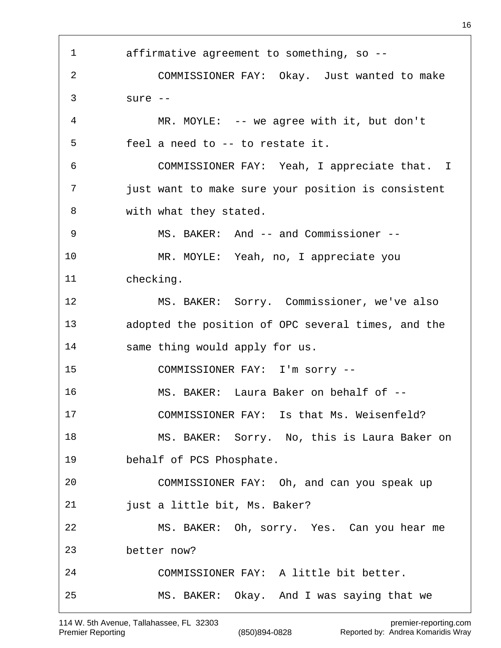affirmative agreement to something, so -- COMMISSIONER FAY: Okay. Just wanted to make sure -- MR. MOYLE: -- we agree with it, but don't feel a need to -- to restate it. COMMISSIONER FAY: Yeah, I appreciate that. I just want to make sure your position is consistent with what they stated. 9 MS. BAKER: And -- and Commissioner -- MR. MOYLE: Yeah, no, I appreciate you checking. MS. BAKER: Sorry. Commissioner, we've also adopted the position of OPC several times, and the same thing would apply for us. COMMISSIONER FAY: I'm sorry -- MS. BAKER: Laura Baker on behalf of -- COMMISSIONER FAY: Is that Ms. Weisenfeld? MS. BAKER: Sorry. No, this is Laura Baker on behalf of PCS Phosphate. COMMISSIONER FAY: Oh, and can you speak up just a little bit, Ms. Baker? MS. BAKER: Oh, sorry. Yes. Can you hear me better now? COMMISSIONER FAY: A little bit better. MS. BAKER: Okay. And I was saying that we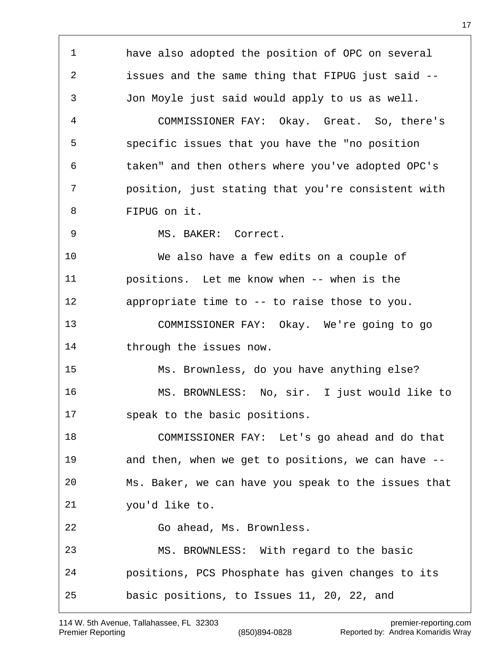have also adopted the position of OPC on several issues and the same thing that FIPUG just said -- Jon Moyle just said would apply to us as well. COMMISSIONER FAY: Okay. Great. So, there's specific issues that you have the "no position taken" and then others where you've adopted OPC's position, just stating that you're consistent with FIPUG on it. MS. BAKER: Correct. We also have a few edits on a couple of positions. Let me know when -- when is the appropriate time to -- to raise those to you. COMMISSIONER FAY: Okay. We're going to go through the issues now. Ms. Brownless, do you have anything else? MS. BROWNLESS: No, sir. I just would like to speak to the basic positions. COMMISSIONER FAY: Let's go ahead and do that and then, when we get to positions, we can have -- Ms. Baker, we can have you speak to the issues that you'd like to. Go ahead, Ms. Brownless. MS. BROWNLESS: With regard to the basic positions, PCS Phosphate has given changes to its basic positions, to Issues 11, 20, 22, and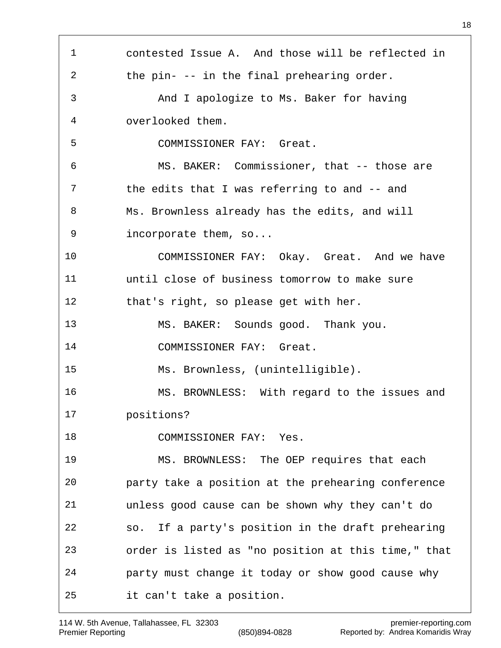contested Issue A. And those will be reflected in the pin- -- in the final prehearing order. And I apologize to Ms. Baker for having overlooked them. COMMISSIONER FAY: Great. MS. BAKER: Commissioner, that -- those are the edits that I was referring to and -- and Ms. Brownless already has the edits, and will incorporate them, so... COMMISSIONER FAY: Okay. Great. And we have until close of business tomorrow to make sure that's right, so please get with her. MS. BAKER: Sounds good. Thank you. COMMISSIONER FAY: Great. Ms. Brownless, (unintelligible). MS. BROWNLESS: With regard to the issues and positions? COMMISSIONER FAY: Yes. MS. BROWNLESS: The OEP requires that each party take a position at the prehearing conference unless good cause can be shown why they can't do so. If a party's position in the draft prehearing order is listed as "no position at this time," that party must change it today or show good cause why it can't take a position.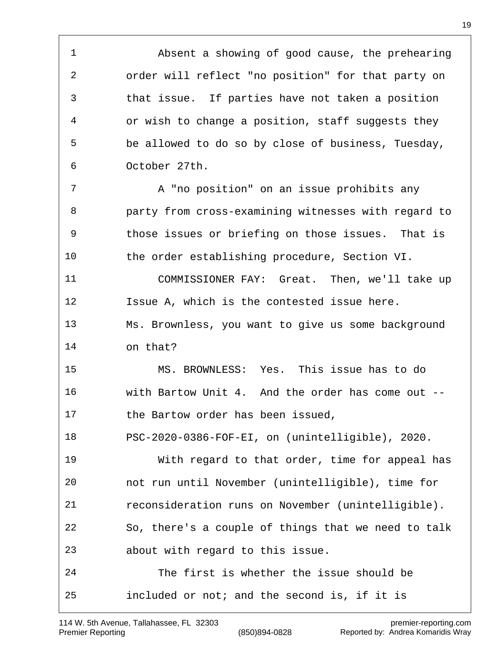Absent a showing of good cause, the prehearing order will reflect "no position" for that party on that issue. If parties have not taken a position or wish to change a position, staff suggests they be allowed to do so by close of business, Tuesday, October 27th. 7 A "no position" on an issue prohibits any party from cross-examining witnesses with regard to those issues or briefing on those issues. That is the order establishing procedure, Section VI.

 COMMISSIONER FAY: Great. Then, we'll take up Issue A, which is the contested issue here. Ms. Brownless, you want to give us some background on that?

 MS. BROWNLESS: Yes. This issue has to do with Bartow Unit 4. And the order has come out -- 17 the Bartow order has been issued,

PSC-2020-0386-FOF-EI, on (unintelligible), 2020.

 With regard to that order, time for appeal has not run until November (unintelligible), time for reconsideration runs on November (unintelligible). So, there's a couple of things that we need to talk about with regard to this issue.

 The first is whether the issue should be included or not; and the second is, if it is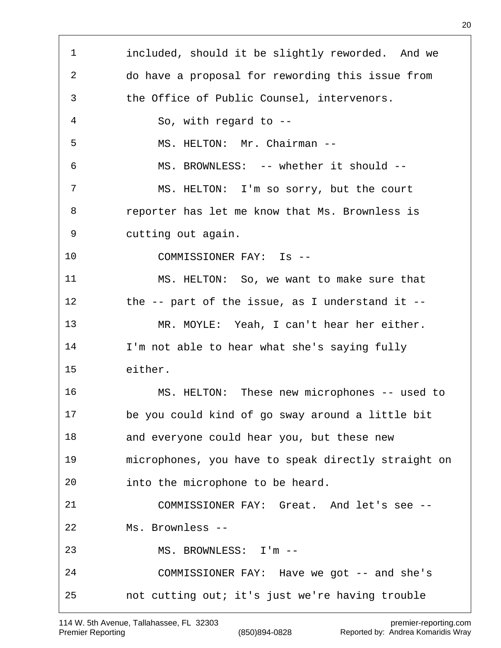included, should it be slightly reworded. And we do have a proposal for rewording this issue from the Office of Public Counsel, intervenors. So, with regard to -- MS. HELTON: Mr. Chairman -- MS. BROWNLESS: -- whether it should -- MS. HELTON: I'm so sorry, but the court reporter has let me know that Ms. Brownless is cutting out again. COMMISSIONER FAY: Is -- MS. HELTON: So, we want to make sure that the -- part of the issue, as I understand it -- MR. MOYLE: Yeah, I can't hear her either. I'm not able to hear what she's saying fully either. MS. HELTON: These new microphones -- used to be you could kind of go sway around a little bit and everyone could hear you, but these new microphones, you have to speak directly straight on into the microphone to be heard. COMMISSIONER FAY: Great. And let's see -- Ms. Brownless -- MS. BROWNLESS: I'm -- COMMISSIONER FAY: Have we got -- and she's not cutting out; it's just we're having trouble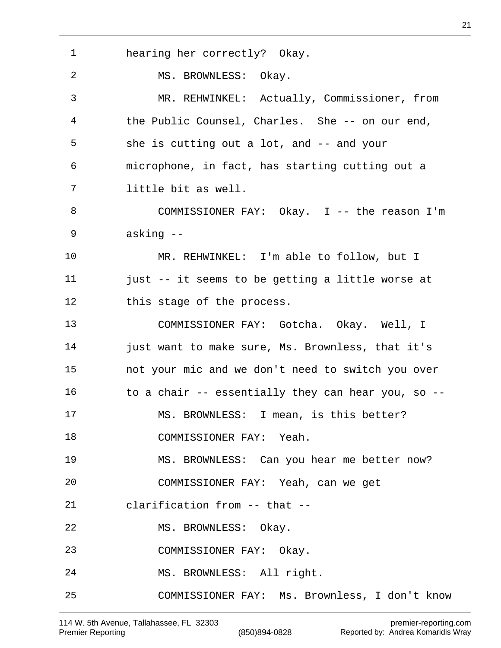hearing her correctly? Okay. MS. BROWNLESS: Okay. MR. REHWINKEL: Actually, Commissioner, from the Public Counsel, Charles. She -- on our end, she is cutting out a lot, and -- and your microphone, in fact, has starting cutting out a little bit as well. COMMISSIONER FAY: Okay. I -- the reason I'm asking -- MR. REHWINKEL: I'm able to follow, but I just -- it seems to be getting a little worse at 12 this stage of the process. COMMISSIONER FAY: Gotcha. Okay. Well, I 14 just want to make sure, Ms. Brownless, that it's not your mic and we don't need to switch you over to a chair -- essentially they can hear you, so -- MS. BROWNLESS: I mean, is this better? 18 COMMISSIONER FAY: Yeah. MS. BROWNLESS: Can you hear me better now? COMMISSIONER FAY: Yeah, can we get clarification from -- that -- MS. BROWNLESS: Okay. COMMISSIONER FAY: Okay. MS. BROWNLESS: All right. COMMISSIONER FAY: Ms. Brownless, I don't know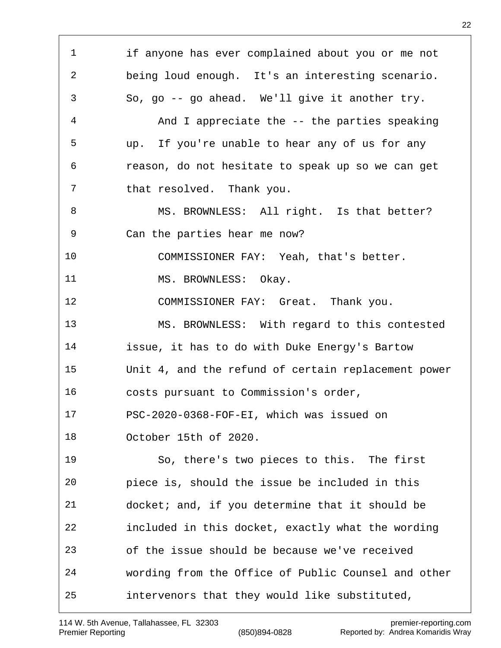if anyone has ever complained about you or me not being loud enough. It's an interesting scenario. So, go -- go ahead. We'll give it another try. And I appreciate the -- the parties speaking up. If you're unable to hear any of us for any reason, do not hesitate to speak up so we can get that resolved. Thank you. 8 MS. BROWNLESS: All right. Is that better? Can the parties hear me now? COMMISSIONER FAY: Yeah, that's better. 11 MS. BROWNLESS: Okay. 12 COMMISSIONER FAY: Great. Thank you. MS. BROWNLESS: With regard to this contested issue, it has to do with Duke Energy's Bartow Unit 4, and the refund of certain replacement power costs pursuant to Commission's order, PSC-2020-0368-FOF-EI, which was issued on October 15th of 2020. So, there's two pieces to this. The first piece is, should the issue be included in this docket; and, if you determine that it should be included in this docket, exactly what the wording of the issue should be because we've received wording from the Office of Public Counsel and other intervenors that they would like substituted,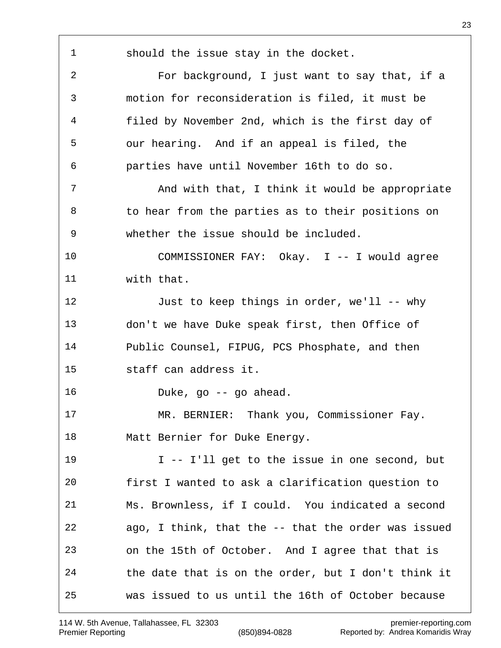should the issue stay in the docket. For background, I just want to say that, if a

 motion for reconsideration is filed, it must be filed by November 2nd, which is the first day of our hearing. And if an appeal is filed, the parties have until November 16th to do so.

7 And with that, I think it would be appropriate to hear from the parties as to their positions on whether the issue should be included.

 COMMISSIONER FAY: Okay. I -- I would agree with that.

 Just to keep things in order, we'll -- why don't we have Duke speak first, then Office of Public Counsel, FIPUG, PCS Phosphate, and then staff can address it.

Duke, go -- go ahead.

 MR. BERNIER: Thank you, Commissioner Fay. 18 Matt Bernier for Duke Energy.

 I -- I'll get to the issue in one second, but first I wanted to ask a clarification question to Ms. Brownless, if I could. You indicated a second ago, I think, that the -- that the order was issued on the 15th of October. And I agree that that is the date that is on the order, but I don't think it was issued to us until the 16th of October because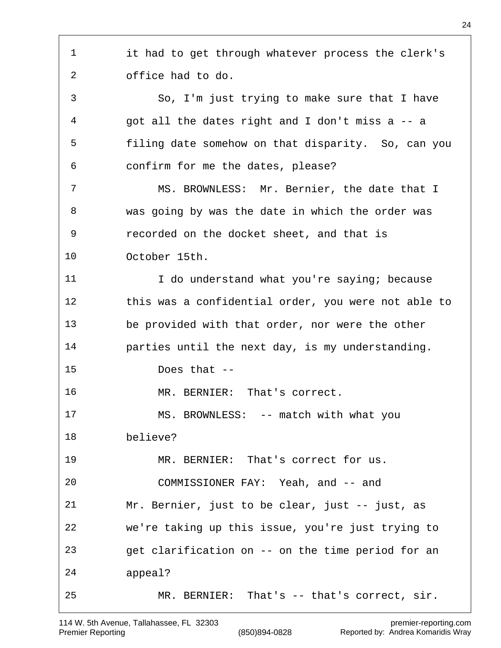it had to get through whatever process the clerk's office had to do. So, I'm just trying to make sure that I have got all the dates right and I don't miss a -- a filing date somehow on that disparity. So, can you confirm for me the dates, please? MS. BROWNLESS: Mr. Bernier, the date that I was going by was the date in which the order was recorded on the docket sheet, and that is October 15th. 11 I do understand what you're saying; because this was a confidential order, you were not able to be provided with that order, nor were the other parties until the next day, is my understanding. Does that -- MR. BERNIER: That's correct. MS. BROWNLESS: -- match with what you believe? MR. BERNIER: That's correct for us. COMMISSIONER FAY: Yeah, and -- and Mr. Bernier, just to be clear, just -- just, as we're taking up this issue, you're just trying to get clarification on -- on the time period for an appeal? MR. BERNIER: That's -- that's correct, sir.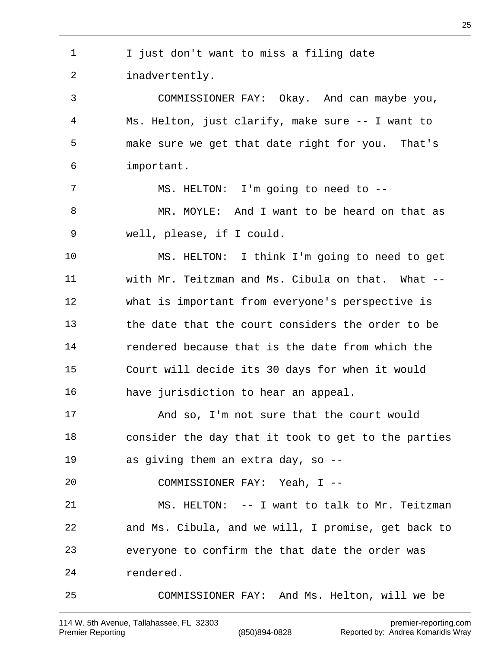I just don't want to miss a filing date inadvertently. COMMISSIONER FAY: Okay. And can maybe you, Ms. Helton, just clarify, make sure -- I want to make sure we get that date right for you. That's important. MS. HELTON: I'm going to need to -- MR. MOYLE: And I want to be heard on that as well, please, if I could. MS. HELTON: I think I'm going to need to get with Mr. Teitzman and Ms. Cibula on that. What -- what is important from everyone's perspective is the date that the court considers the order to be rendered because that is the date from which the Court will decide its 30 days for when it would have jurisdiction to hear an appeal. And so, I'm not sure that the court would consider the day that it took to get to the parties as giving them an extra day, so -- COMMISSIONER FAY: Yeah, I -- MS. HELTON: -- I want to talk to Mr. Teitzman and Ms. Cibula, and we will, I promise, get back to everyone to confirm the that date the order was rendered. COMMISSIONER FAY: And Ms. Helton, will we be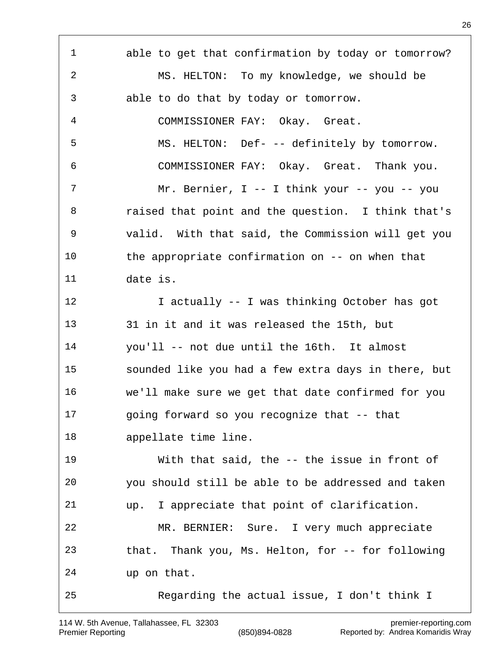able to get that confirmation by today or tomorrow? MS. HELTON: To my knowledge, we should be able to do that by today or tomorrow. COMMISSIONER FAY: Okay. Great. MS. HELTON: Def- -- definitely by tomorrow. COMMISSIONER FAY: Okay. Great. Thank you. Mr. Bernier, I -- I think your -- you -- you raised that point and the question. I think that's valid. With that said, the Commission will get you the appropriate confirmation on -- on when that date is. 12 I actually -- I was thinking October has got 31 in it and it was released the 15th, but you'll -- not due until the 16th. It almost sounded like you had a few extra days in there, but we'll make sure we get that date confirmed for you going forward so you recognize that -- that appellate time line. With that said, the -- the issue in front of you should still be able to be addressed and taken up. I appreciate that point of clarification. MR. BERNIER: Sure. I very much appreciate that. Thank you, Ms. Helton, for -- for following up on that. Regarding the actual issue, I don't think I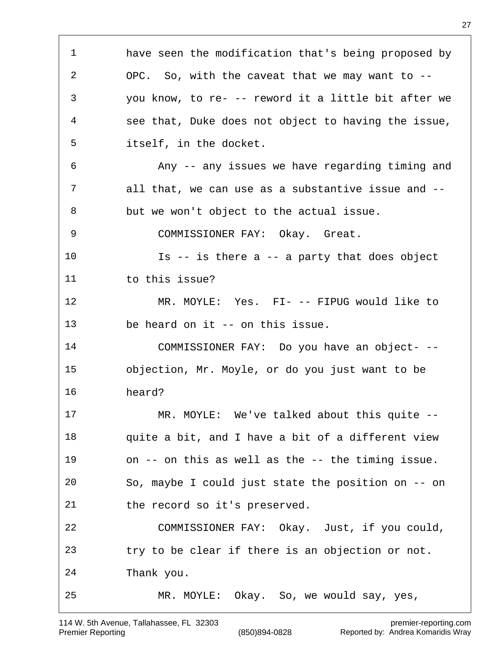have seen the modification that's being proposed by OPC. So, with the caveat that we may want to -- you know, to re- -- reword it a little bit after we see that, Duke does not object to having the issue, itself, in the docket. Any -- any issues we have regarding timing and all that, we can use as a substantive issue and -- but we won't object to the actual issue. COMMISSIONER FAY: Okay. Great. Is -- is there a -- a party that does object 11 to this issue? MR. MOYLE: Yes. FI- -- FIPUG would like to be heard on it -- on this issue. COMMISSIONER FAY: Do you have an object- -- objection, Mr. Moyle, or do you just want to be heard? MR. MOYLE: We've talked about this quite -- quite a bit, and I have a bit of a different view on -- on this as well as the -- the timing issue. So, maybe I could just state the position on -- on the record so it's preserved. COMMISSIONER FAY: Okay. Just, if you could, try to be clear if there is an objection or not. Thank you. MR. MOYLE: Okay. So, we would say, yes,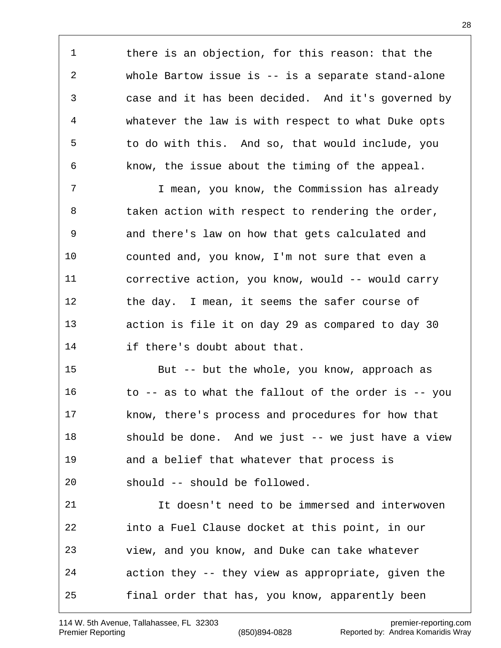there is an objection, for this reason: that the whole Bartow issue is -- is a separate stand-alone case and it has been decided. And it's governed by whatever the law is with respect to what Duke opts to do with this. And so, that would include, you know, the issue about the timing of the appeal.

 I mean, you know, the Commission has already 8 taken action with respect to rendering the order, and there's law on how that gets calculated and counted and, you know, I'm not sure that even a corrective action, you know, would -- would carry 12 the day. I mean, it seems the safer course of action is file it on day 29 as compared to day 30 if there's doubt about that.

 But -- but the whole, you know, approach as to -- as to what the fallout of the order is -- you know, there's process and procedures for how that should be done. And we just -- we just have a view and a belief that whatever that process is should -- should be followed.

 It doesn't need to be immersed and interwoven into a Fuel Clause docket at this point, in our view, and you know, and Duke can take whatever action they -- they view as appropriate, given the final order that has, you know, apparently been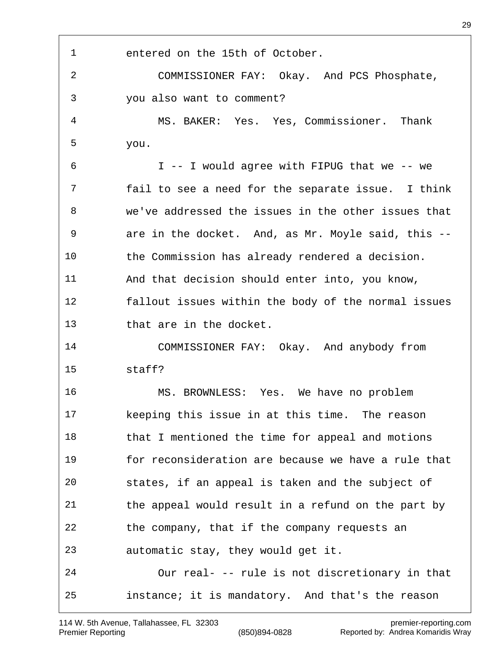entered on the 15th of October. COMMISSIONER FAY: Okay. And PCS Phosphate, you also want to comment? MS. BAKER: Yes. Yes, Commissioner. Thank you. I -- I would agree with FIPUG that we -- we fail to see a need for the separate issue. I think we've addressed the issues in the other issues that are in the docket. And, as Mr. Moyle said, this -- the Commission has already rendered a decision. And that decision should enter into, you know, fallout issues within the body of the normal issues that are in the docket. COMMISSIONER FAY: Okay. And anybody from staff? MS. BROWNLESS: Yes. We have no problem keeping this issue in at this time. The reason 18 that I mentioned the time for appeal and motions for reconsideration are because we have a rule that states, if an appeal is taken and the subject of the appeal would result in a refund on the part by the company, that if the company requests an automatic stay, they would get it. Our real- -- rule is not discretionary in that instance; it is mandatory. And that's the reason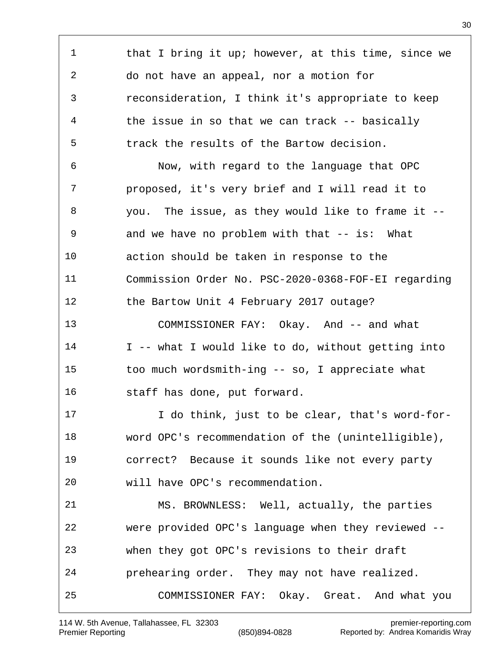1 that I bring it up; however, at this time, since we do not have an appeal, nor a motion for reconsideration, I think it's appropriate to keep the issue in so that we can track -- basically track the results of the Bartow decision. Now, with regard to the language that OPC proposed, it's very brief and I will read it to you. The issue, as they would like to frame it -- and we have no problem with that -- is: What action should be taken in response to the Commission Order No. PSC-2020-0368-FOF-EI regarding the Bartow Unit 4 February 2017 outage? 13 COMMISSIONER FAY: Okay. And -- and what 14 I -- what I would like to do, without getting into too much wordsmith-ing -- so, I appreciate what staff has done, put forward. I do think, just to be clear, that's word-for- word OPC's recommendation of the (unintelligible), correct? Because it sounds like not every party will have OPC's recommendation. MS. BROWNLESS: Well, actually, the parties were provided OPC's language when they reviewed -- when they got OPC's revisions to their draft prehearing order. They may not have realized. COMMISSIONER FAY: Okay. Great. And what you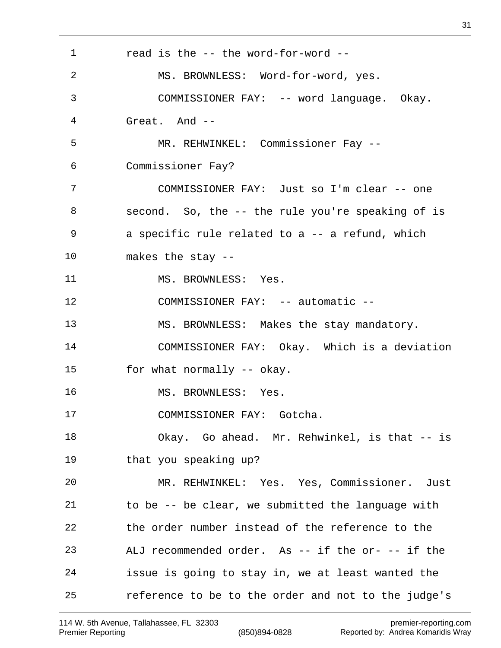read is the -- the word-for-word -- MS. BROWNLESS: Word-for-word, yes. COMMISSIONER FAY: -- word language. Okay. Great. And -- MR. REHWINKEL: Commissioner Fay -- Commissioner Fay? COMMISSIONER FAY: Just so I'm clear -- one second. So, the -- the rule you're speaking of is a specific rule related to a -- a refund, which makes the stay -- 11 MS. BROWNLESS: Yes. 12 COMMISSIONER FAY: -- automatic -- MS. BROWNLESS: Makes the stay mandatory. COMMISSIONER FAY: Okay. Which is a deviation for what normally -- okay. MS. BROWNLESS: Yes. COMMISSIONER FAY: Gotcha. Okay. Go ahead. Mr. Rehwinkel, is that -- is that you speaking up? MR. REHWINKEL: Yes. Yes, Commissioner. Just to be -- be clear, we submitted the language with the order number instead of the reference to the ALJ recommended order. As -- if the or- -- if the issue is going to stay in, we at least wanted the reference to be to the order and not to the judge's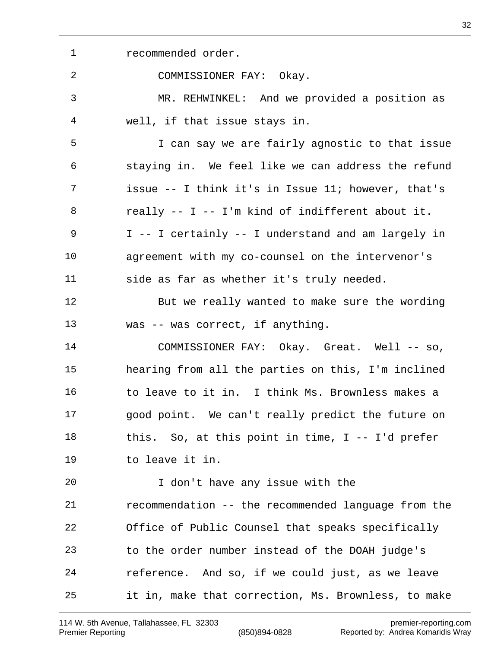recommended order. COMMISSIONER FAY: Okay. MR. REHWINKEL: And we provided a position as well, if that issue stays in. I can say we are fairly agnostic to that issue staying in. We feel like we can address the refund issue -- I think it's in Issue 11; however, that's really -- I -- I'm kind of indifferent about it. I -- I certainly -- I understand and am largely in agreement with my co-counsel on the intervenor's side as far as whether it's truly needed. But we really wanted to make sure the wording was -- was correct, if anything. 14 COMMISSIONER FAY: Okay. Great. Well -- so, hearing from all the parties on this, I'm inclined to leave to it in. I think Ms. Brownless makes a good point. We can't really predict the future on this. So, at this point in time, I -- I'd prefer to leave it in. I don't have any issue with the recommendation -- the recommended language from the Office of Public Counsel that speaks specifically to the order number instead of the DOAH judge's reference. And so, if we could just, as we leave it in, make that correction, Ms. Brownless, to make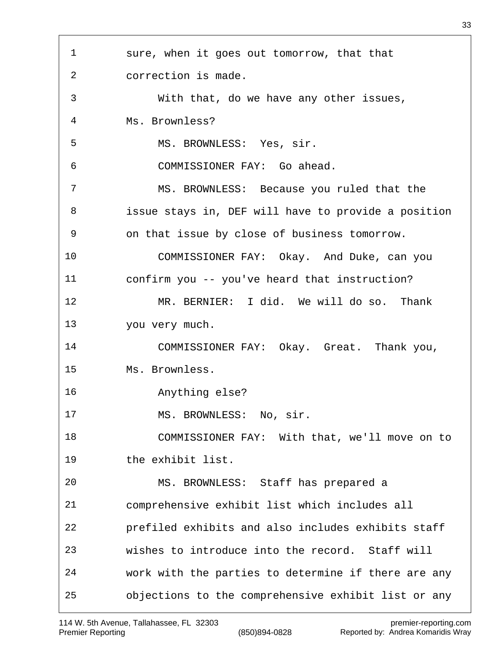sure, when it goes out tomorrow, that that correction is made. With that, do we have any other issues, Ms. Brownless? MS. BROWNLESS: Yes, sir. COMMISSIONER FAY: Go ahead. MS. BROWNLESS: Because you ruled that the issue stays in, DEF will have to provide a position on that issue by close of business tomorrow. COMMISSIONER FAY: Okay. And Duke, can you confirm you -- you've heard that instruction? MR. BERNIER: I did. We will do so. Thank you very much. COMMISSIONER FAY: Okay. Great. Thank you, Ms. Brownless. Anything else? 17 MS. BROWNLESS: No, sir. COMMISSIONER FAY: With that, we'll move on to the exhibit list. MS. BROWNLESS: Staff has prepared a comprehensive exhibit list which includes all prefiled exhibits and also includes exhibits staff wishes to introduce into the record. Staff will work with the parties to determine if there are any objections to the comprehensive exhibit list or any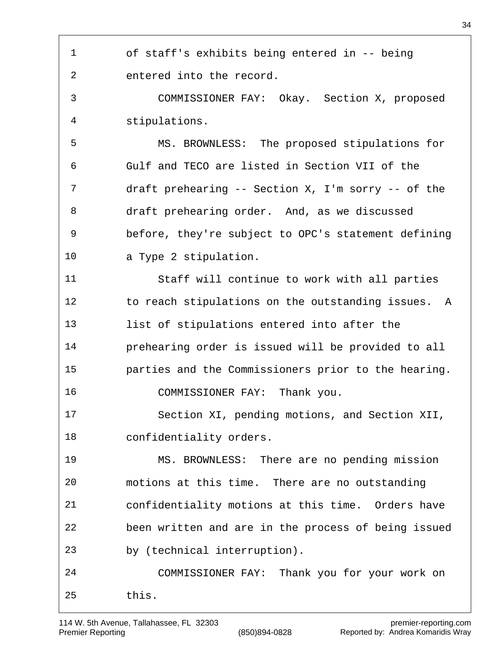of staff's exhibits being entered in -- being entered into the record.

 COMMISSIONER FAY: Okay. Section X, proposed stipulations.

 MS. BROWNLESS: The proposed stipulations for Gulf and TECO are listed in Section VII of the draft prehearing -- Section X, I'm sorry -- of the draft prehearing order. And, as we discussed before, they're subject to OPC's statement defining a Type 2 stipulation.

 Staff will continue to work with all parties to reach stipulations on the outstanding issues. A list of stipulations entered into after the prehearing order is issued will be provided to all parties and the Commissioners prior to the hearing. 16 COMMISSIONER FAY: Thank you.

 Section XI, pending motions, and Section XII, confidentiality orders.

 MS. BROWNLESS: There are no pending mission motions at this time. There are no outstanding confidentiality motions at this time. Orders have been written and are in the process of being issued by (technical interruption).

 COMMISSIONER FAY: Thank you for your work on this.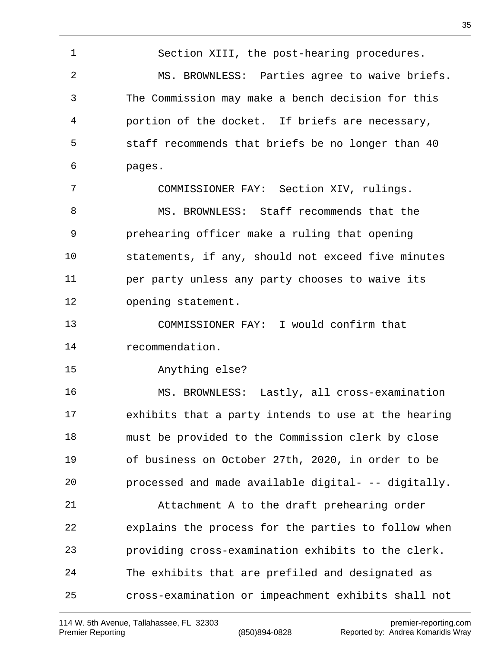Section XIII, the post-hearing procedures. MS. BROWNLESS: Parties agree to waive briefs. The Commission may make a bench decision for this portion of the docket. If briefs are necessary, staff recommends that briefs be no longer than 40 pages. COMMISSIONER FAY: Section XIV, rulings. MS. BROWNLESS: Staff recommends that the prehearing officer make a ruling that opening statements, if any, should not exceed five minutes per party unless any party chooses to waive its opening statement. COMMISSIONER FAY: I would confirm that recommendation. Anything else? MS. BROWNLESS: Lastly, all cross-examination exhibits that a party intends to use at the hearing must be provided to the Commission clerk by close of business on October 27th, 2020, in order to be

processed and made available digital- -- digitally.

 Attachment A to the draft prehearing order explains the process for the parties to follow when providing cross-examination exhibits to the clerk. The exhibits that are prefiled and designated as cross-examination or impeachment exhibits shall not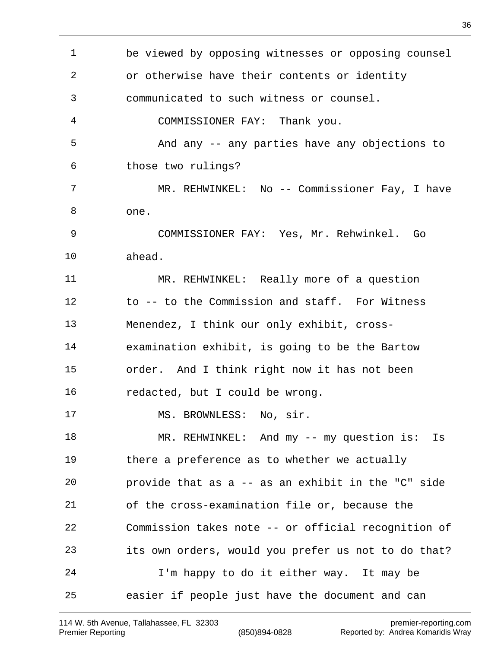| $\mathbf{1}$ | be viewed by opposing witnesses or opposing counsel |
|--------------|-----------------------------------------------------|
| 2            | or otherwise have their contents or identity        |
| 3            | communicated to such witness or counsel.            |
| 4            | COMMISSIONER FAY: Thank you.                        |
| 5            | And any -- any parties have any objections to       |
| 6            | those two rulings?                                  |
| 7            | MR. REHWINKEL: No -- Commissioner Fay, I have       |
| 8            | one.                                                |
| 9            | COMMISSIONER FAY: Yes, Mr. Rehwinkel. Go            |
| 10           | ahead.                                              |
| 11           | MR. REHWINKEL: Really more of a question            |
| 12           | to -- to the Commission and staff. For Witness      |
| 13           | Menendez, I think our only exhibit, cross-          |
| 14           | examination exhibit, is going to be the Bartow      |
| 15           | order. And I think right now it has not been        |
| 16           | redacted, but I could be wrong.                     |
| 17           | MS. BROWNLESS: No, sir.                             |
| 18           | MR. REHWINKEL: And my -- my question is:<br>Is      |
| 19           | there a preference as to whether we actually        |
| 20           | provide that as a -- as an exhibit in the "C" side  |
| 21           | of the cross-examination file or, because the       |
| 22           | Commission takes note -- or official recognition of |
| 23           | its own orders, would you prefer us not to do that? |
| 24           | I'm happy to do it either way. It may be            |
| 25           | easier if people just have the document and can     |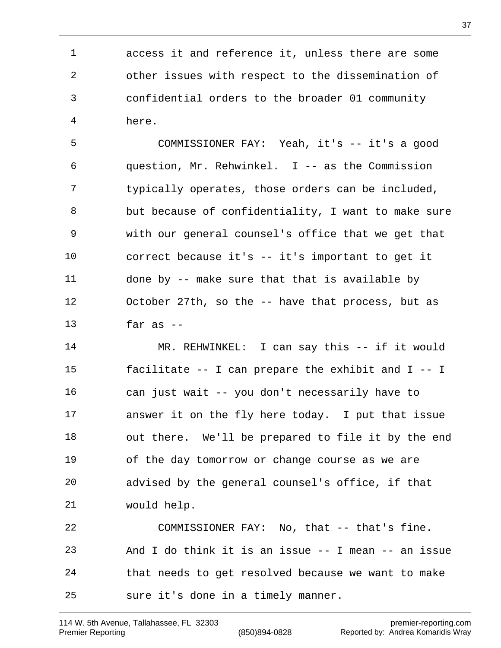access it and reference it, unless there are some other issues with respect to the dissemination of confidential orders to the broader 01 community here.

 COMMISSIONER FAY: Yeah, it's -- it's a good question, Mr. Rehwinkel. I -- as the Commission typically operates, those orders can be included, but because of confidentiality, I want to make sure with our general counsel's office that we get that correct because it's -- it's important to get it done by -- make sure that that is available by October 27th, so the -- have that process, but as far as  $-$ 

 MR. REHWINKEL: I can say this -- if it would facilitate -- I can prepare the exhibit and I -- I can just wait -- you don't necessarily have to answer it on the fly here today. I put that issue out there. We'll be prepared to file it by the end of the day tomorrow or change course as we are advised by the general counsel's office, if that would help. COMMISSIONER FAY: No, that -- that's fine. And I do think it is an issue -- I mean -- an issue

 that needs to get resolved because we want to make sure it's done in a timely manner.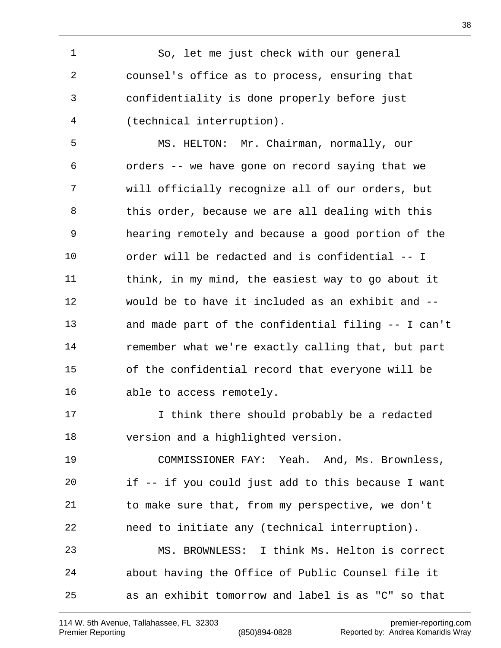So, let me just check with our general counsel's office as to process, ensuring that confidentiality is done properly before just (technical interruption).

 MS. HELTON: Mr. Chairman, normally, our orders -- we have gone on record saying that we will officially recognize all of our orders, but 8 this order, because we are all dealing with this hearing remotely and because a good portion of the order will be redacted and is confidential -- I think, in my mind, the easiest way to go about it would be to have it included as an exhibit and -- and made part of the confidential filing -- I can't remember what we're exactly calling that, but part of the confidential record that everyone will be able to access remotely.

 I think there should probably be a redacted version and a highlighted version.

 COMMISSIONER FAY: Yeah. And, Ms. Brownless, if -- if you could just add to this because I want to make sure that, from my perspective, we don't need to initiate any (technical interruption). MS. BROWNLESS: I think Ms. Helton is correct about having the Office of Public Counsel file it as an exhibit tomorrow and label is as "C" so that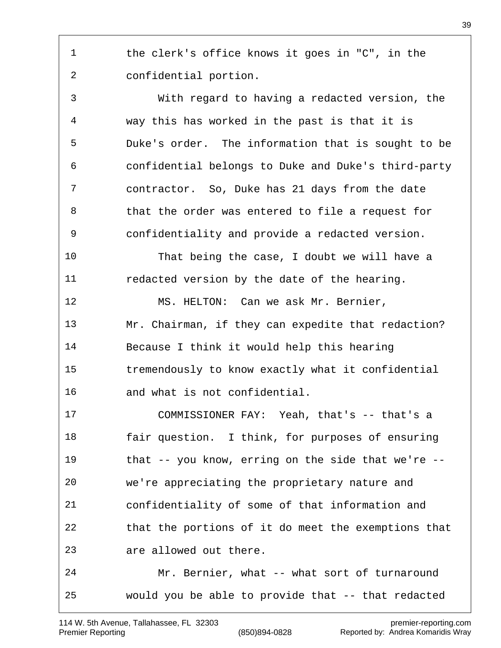the clerk's office knows it goes in "C", in the confidential portion.

 With regard to having a redacted version, the way this has worked in the past is that it is Duke's order. The information that is sought to be confidential belongs to Duke and Duke's third-party contractor. So, Duke has 21 days from the date that the order was entered to file a request for confidentiality and provide a redacted version.

 That being the case, I doubt we will have a redacted version by the date of the hearing.

12 MS. HELTON: Can we ask Mr. Bernier, Mr. Chairman, if they can expedite that redaction? Because I think it would help this hearing tremendously to know exactly what it confidential and what is not confidential.

 COMMISSIONER FAY: Yeah, that's -- that's a fair question. I think, for purposes of ensuring that -- you know, erring on the side that we're -- we're appreciating the proprietary nature and confidentiality of some of that information and that the portions of it do meet the exemptions that are allowed out there.

 Mr. Bernier, what -- what sort of turnaround would you be able to provide that -- that redacted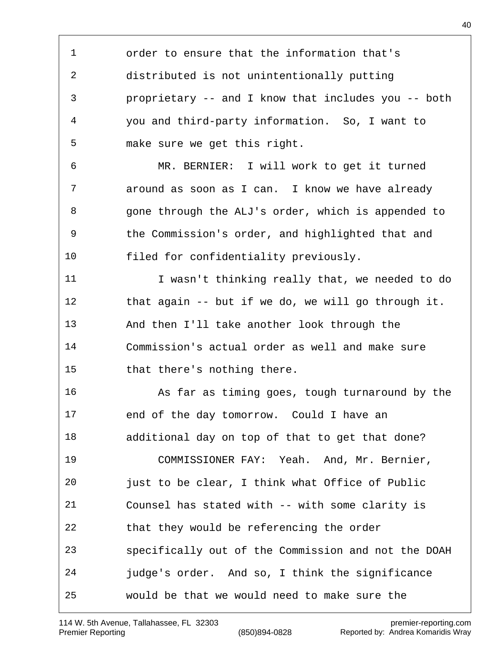order to ensure that the information that's distributed is not unintentionally putting proprietary -- and I know that includes you -- both you and third-party information. So, I want to make sure we get this right. MR. BERNIER: I will work to get it turned around as soon as I can. I know we have already gone through the ALJ's order, which is appended to the Commission's order, and highlighted that and filed for confidentiality previously. I wasn't thinking really that, we needed to do that again -- but if we do, we will go through it. And then I'll take another look through the Commission's actual order as well and make sure that there's nothing there. As far as timing goes, tough turnaround by the end of the day tomorrow. Could I have an additional day on top of that to get that done? COMMISSIONER FAY: Yeah. And, Mr. Bernier, just to be clear, I think what Office of Public Counsel has stated with -- with some clarity is that they would be referencing the order specifically out of the Commission and not the DOAH judge's order. And so, I think the significance would be that we would need to make sure the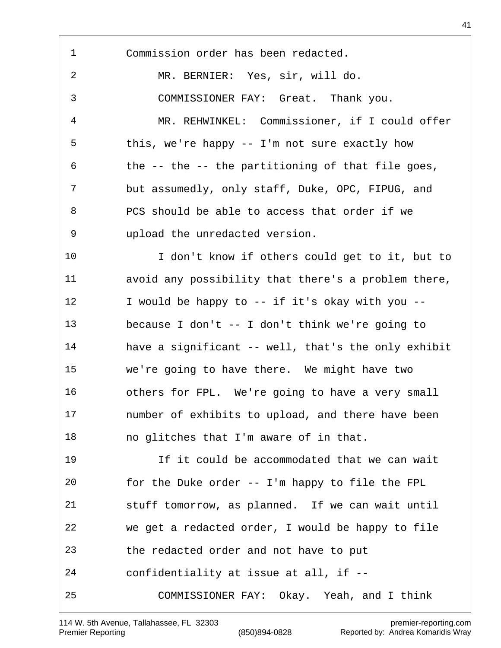Commission order has been redacted. MR. BERNIER: Yes, sir, will do. COMMISSIONER FAY: Great. Thank you. MR. REHWINKEL: Commissioner, if I could offer this, we're happy -- I'm not sure exactly how the -- the -- the partitioning of that file goes, but assumedly, only staff, Duke, OPC, FIPUG, and PCS should be able to access that order if we upload the unredacted version. I don't know if others could get to it, but to avoid any possibility that there's a problem there, 12 I would be happy to -- if it's okay with you -- because I don't -- I don't think we're going to have a significant -- well, that's the only exhibit we're going to have there. We might have two others for FPL. We're going to have a very small number of exhibits to upload, and there have been no glitches that I'm aware of in that. If it could be accommodated that we can wait for the Duke order -- I'm happy to file the FPL stuff tomorrow, as planned. If we can wait until we get a redacted order, I would be happy to file the redacted order and not have to put confidentiality at issue at all, if -- COMMISSIONER FAY: Okay. Yeah, and I think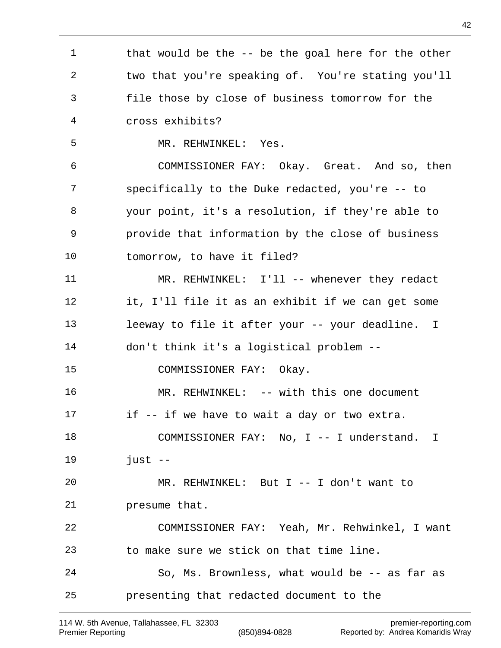1 that would be the -- be the goal here for the other two that you're speaking of. You're stating you'll file those by close of business tomorrow for the cross exhibits? MR. REHWINKEL: Yes. COMMISSIONER FAY: Okay. Great. And so, then specifically to the Duke redacted, you're -- to your point, it's a resolution, if they're able to provide that information by the close of business tomorrow, to have it filed? 11 MR. REHWINKEL: I'll -- whenever they redact it, I'll file it as an exhibit if we can get some leeway to file it after your -- your deadline. I don't think it's a logistical problem -- COMMISSIONER FAY: Okay. MR. REHWINKEL: -- with this one document if -- if we have to wait a day or two extra. 18 COMMISSIONER FAY: No, I -- I understand. I just -- MR. REHWINKEL: But I -- I don't want to presume that. COMMISSIONER FAY: Yeah, Mr. Rehwinkel, I want to make sure we stick on that time line. So, Ms. Brownless, what would be -- as far as presenting that redacted document to the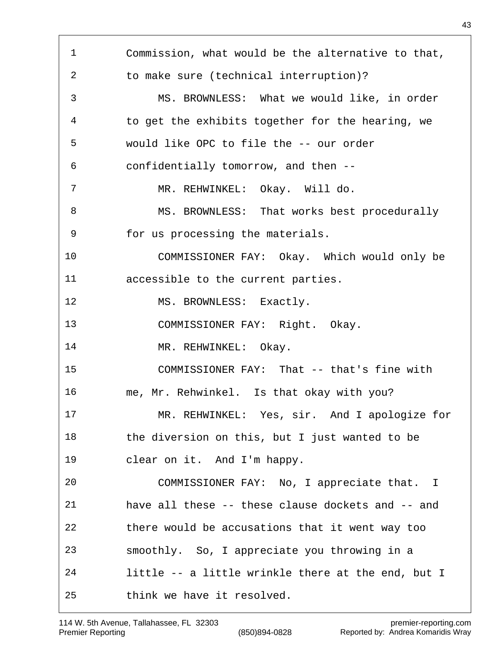Commission, what would be the alternative to that, to make sure (technical interruption)? MS. BROWNLESS: What we would like, in order to get the exhibits together for the hearing, we would like OPC to file the -- our order confidentially tomorrow, and then -- MR. REHWINKEL: Okay. Will do. 8 MS. BROWNLESS: That works best procedurally for us processing the materials. COMMISSIONER FAY: Okay. Which would only be accessible to the current parties. 12 MS. BROWNLESS: Exactly. COMMISSIONER FAY: Right. Okay. 14 MR. REHWINKEL: Okay. COMMISSIONER FAY: That -- that's fine with me, Mr. Rehwinkel. Is that okay with you? MR. REHWINKEL: Yes, sir. And I apologize for the diversion on this, but I just wanted to be clear on it. And I'm happy. COMMISSIONER FAY: No, I appreciate that. I have all these -- these clause dockets and -- and there would be accusations that it went way too smoothly. So, I appreciate you throwing in a little -- a little wrinkle there at the end, but I think we have it resolved.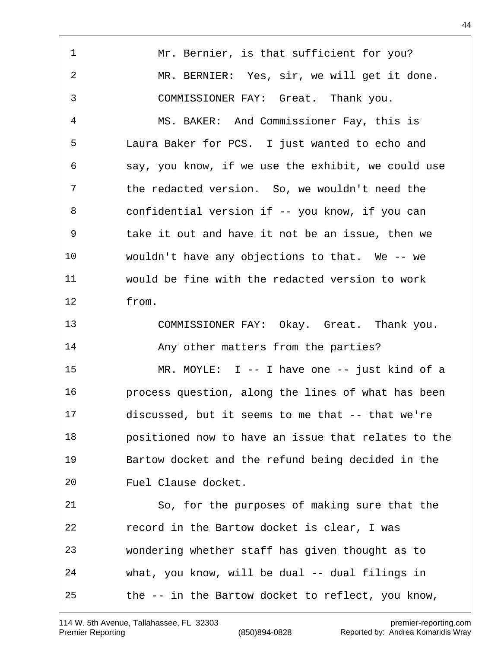1 Mr. Bernier, is that sufficient for you? MR. BERNIER: Yes, sir, we will get it done. COMMISSIONER FAY: Great. Thank you. MS. BAKER: And Commissioner Fay, this is Laura Baker for PCS. I just wanted to echo and say, you know, if we use the exhibit, we could use the redacted version. So, we wouldn't need the confidential version if -- you know, if you can take it out and have it not be an issue, then we wouldn't have any objections to that. We -- we would be fine with the redacted version to work from. COMMISSIONER FAY: Okay. Great. Thank you. Any other matters from the parties? MR. MOYLE: I -- I have one -- just kind of a process question, along the lines of what has been discussed, but it seems to me that -- that we're positioned now to have an issue that relates to the Bartow docket and the refund being decided in the Fuel Clause docket. So, for the purposes of making sure that the record in the Bartow docket is clear, I was wondering whether staff has given thought as to what, you know, will be dual -- dual filings in the -- in the Bartow docket to reflect, you know,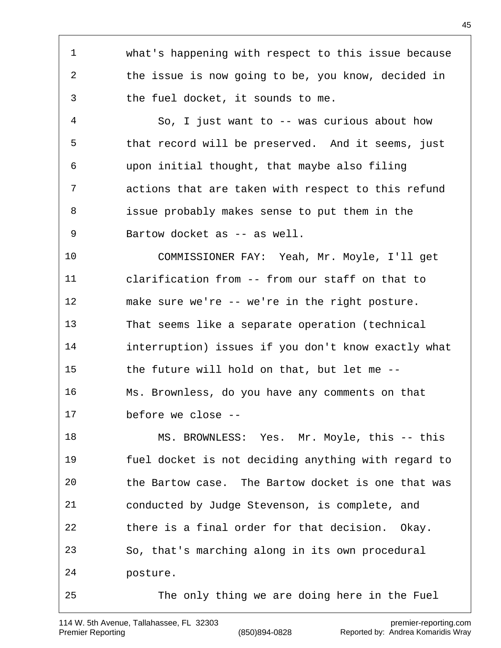what's happening with respect to this issue because the issue is now going to be, you know, decided in the fuel docket, it sounds to me. So, I just want to -- was curious about how that record will be preserved. And it seems, just upon initial thought, that maybe also filing actions that are taken with respect to this refund issue probably makes sense to put them in the 9 Bartow docket as -- as well. COMMISSIONER FAY: Yeah, Mr. Moyle, I'll get clarification from -- from our staff on that to make sure we're -- we're in the right posture. That seems like a separate operation (technical interruption) issues if you don't know exactly what the future will hold on that, but let me -- Ms. Brownless, do you have any comments on that before we close -- MS. BROWNLESS: Yes. Mr. Moyle, this -- this fuel docket is not deciding anything with regard to the Bartow case. The Bartow docket is one that was conducted by Judge Stevenson, is complete, and there is a final order for that decision. Okay. So, that's marching along in its own procedural posture. The only thing we are doing here in the Fuel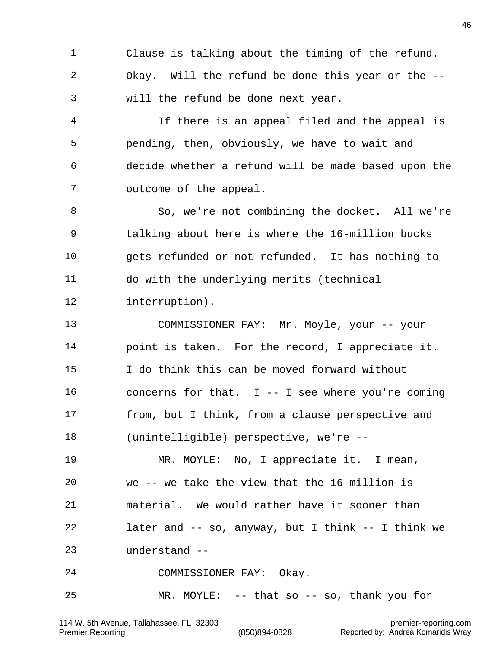Clause is talking about the timing of the refund. Okay. Will the refund be done this year or the -- will the refund be done next year. If there is an appeal filed and the appeal is pending, then, obviously, we have to wait and decide whether a refund will be made based upon the outcome of the appeal. So, we're not combining the docket. All we're talking about here is where the 16-million bucks gets refunded or not refunded. It has nothing to do with the underlying merits (technical interruption). COMMISSIONER FAY: Mr. Moyle, your -- your point is taken. For the record, I appreciate it. I do think this can be moved forward without concerns for that. I -- I see where you're coming from, but I think, from a clause perspective and (unintelligible) perspective, we're -- MR. MOYLE: No, I appreciate it. I mean, we -- we take the view that the 16 million is material. We would rather have it sooner than later and -- so, anyway, but I think -- I think we understand -- COMMISSIONER FAY: Okay. MR. MOYLE: -- that so -- so, thank you for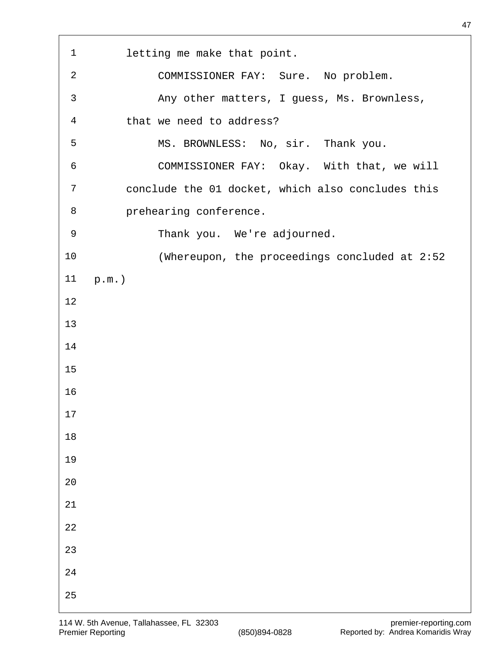| $\mathbf{1}$   | letting me make that point.                       |
|----------------|---------------------------------------------------|
|                |                                                   |
| $\overline{2}$ | COMMISSIONER FAY: Sure. No problem.               |
| 3              | Any other matters, I guess, Ms. Brownless,        |
| $\overline{4}$ | that we need to address?                          |
| 5              | MS. BROWNLESS: No, sir. Thank you.                |
| 6              | COMMISSIONER FAY: Okay. With that, we will        |
| 7              | conclude the 01 docket, which also concludes this |
| 8              | prehearing conference.                            |
| 9              | Thank you. We're adjourned.                       |
| 10             | (Whereupon, the proceedings concluded at 2:52     |
| 11             | $p.m.$ )                                          |
| 12             |                                                   |
| 13             |                                                   |
| 14             |                                                   |
| 15             |                                                   |
| 16             |                                                   |
| $17$           |                                                   |
| $18\,$         |                                                   |
| 19             |                                                   |
| 20             |                                                   |
| $21\,$         |                                                   |
| 22             |                                                   |
| 23             |                                                   |
| $2\sqrt{4}$    |                                                   |
| 25             |                                                   |
|                |                                                   |